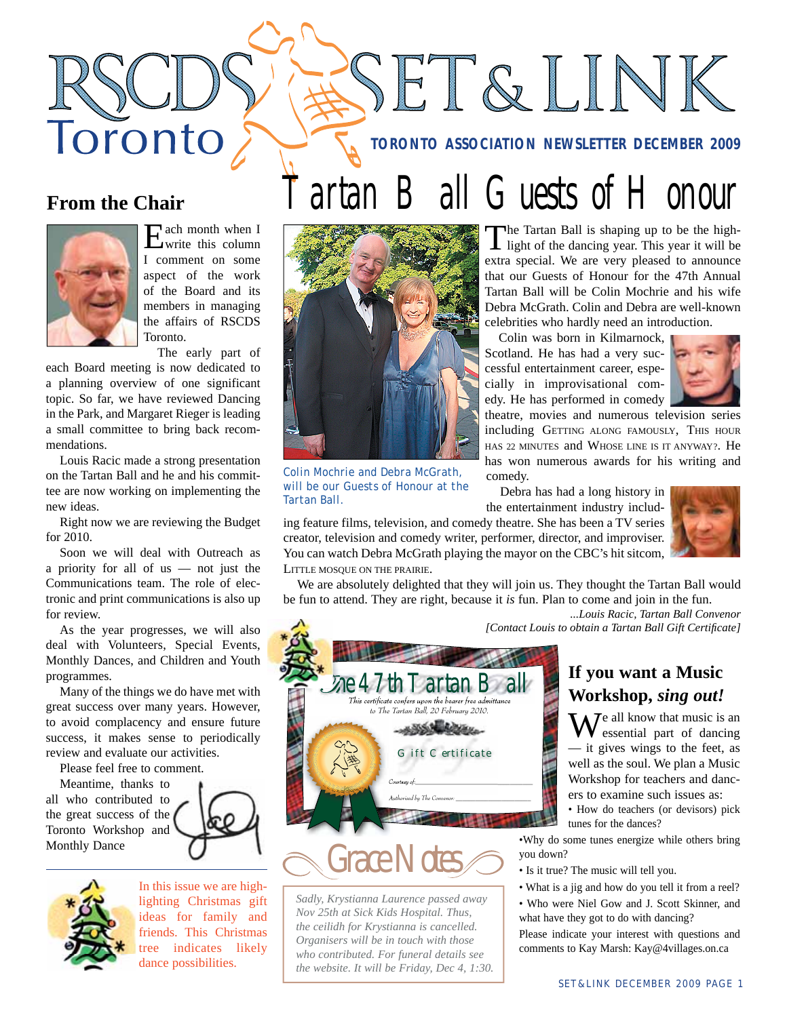**TORONTO ASSOCIATION NEWSLETTER DECEMBER 2009**

SET&LINK

artan Ball Guests of Honour

## **From the Chair**

Toronto



Each month when I write this column I comment on some aspect of the work of the Board and its members in managing the affairs of RSCDS Toronto.

The early part of

each Board meeting is now dedicated to a planning overview of one significant topic. So far, we have reviewed Dancing in the Park, and Margaret Rieger is leading a small committee to bring back recommendations.

Louis Racic made a strong presentation on the Tartan Ball and he and his committee are now working on implementing the new ideas.

Right now we are reviewing the Budget for 2010.

Soon we will deal with Outreach as a priority for all of us — not just the Communications team. The role of electronic and print communications is also up for review.

As the year progresses, we will also deal with Volunteers, Special Events, Monthly Dances, and Children and Youth programmes.

Many of the things we do have met with great success over many years. However, to avoid complacency and ensure future success, it makes sense to periodically review and evaluate our activities.

Please feel free to comment.

Meantime, thanks to all who contributed to the great success of the Toronto Workshop and Monthly Dance





In this issue we are highlighting Christmas gift ideas for family and friends. This Christmas tree indicates likely dance possibilities.



*Colin Mochrie and Debra McGrath, will be our Guests of Honour at the Tartan Ball.*

The Tartan Ball is shaping up to be the high-light of the dancing year. This year it will be extra special. We are very pleased to announce that our Guests of Honour for the 47th Annual Tartan Ball will be Colin Mochrie and his wife Debra McGrath. Colin and Debra are well-known celebrities who hardly need an introduction.

Colin was born in Kilmarnock, Scotland. He has had a very successful entertainment career, especially in improvisational comedy. He has performed in comedy



theatre, movies and numerous television series including GETTING ALONG FAMOUSLY, THIS HOUR HAS 22 MINUTES and WHOSE LINE IS IT ANYWAY?. He has won numerous awards for his writing and comedy.

Debra has had a long history in the entertainment industry includ-

ing feature films, television, and comedy theatre. She has been a TV series creator, television and comedy writer, performer, director, and improviser. You can watch Debra McGrath playing the mayor on the CBC's hit sitcom, LITTLE MOSQUE ON THE PRAIRIE.

> *\$PVSUFTZPG@@@@@@@@@@@@@@@@@@@@@@@@@@@@@@@@@@@@ "VUIPSJTFECZ5IF\$POWFOPS@@@@@@@@@@@@@@@@@@@@@@@*

*Gift Certificate*

This certificate confers upon the bearer free admittance to The Tartan Ball, 20 February 2010.

zhe 47th Tartan B

*Grace Notes*

*Sadly, Krystianna Laurence passed away Nov 25th at Sick Kids Hospital. Thus, the ceilidh for Krystianna is cancelled. Organisers will be in touch with those who contributed. For funeral details see the website. It will be Friday, Dec 4, 1:30.*

We are absolutely delighted that they will join us. They thought the Tartan Ball would be fun to attend. They are right, because it *is* fun. Plan to come and join in the fun.

*...Louis Racic, Tartan Ball Convenor [Contact Louis to obtain a Tartan Ball Gift Certifi cate]*

## **If you want a Music Workshop,** *sing out!*

 $\mathbf{W}$ <sup>e all know that music is an</sup> essential part of dancing — it gives wings to the feet, as well as the soul. We plan a Music Workshop for teachers and dancers to examine such issues as:

• How do teachers (or devisors) pick tunes for the dances?

•Why do some tunes energize while others bring you down?

- Is it true? The music will tell you.
- What is a jig and how do you tell it from a reel?
- Who were Niel Gow and J. Scott Skinner, and what have they got to do with dancing?

Please indicate your interest with questions and comments to Kay Marsh: Kay@4villages.on.ca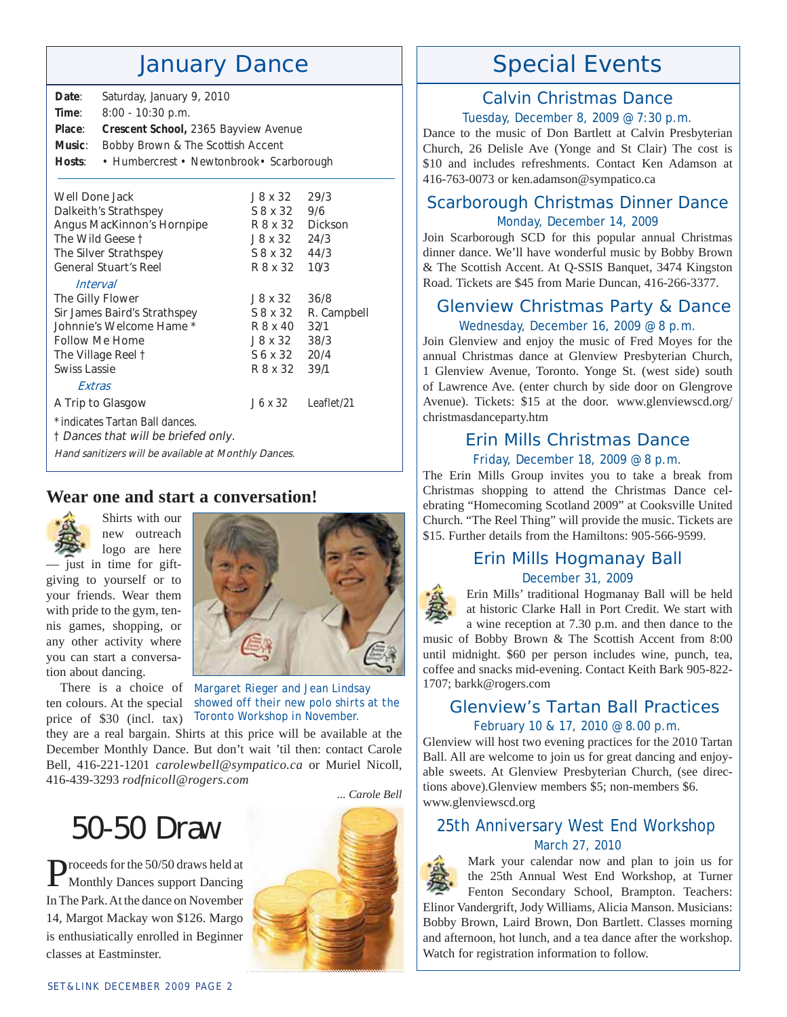# January Dance

| Date:                           | Saturday, January 9, 2010                 |          |         |  |
|---------------------------------|-------------------------------------------|----------|---------|--|
| Time:                           | $8:00 - 10:30$ p.m.                       |          |         |  |
| Place:                          | Crescent School, 2365 Bayview Avenue      |          |         |  |
| Music:                          | Bobby Brown & The Scottish Accent         |          |         |  |
| Hosts:                          | • Humbercrest • Newtonbrook • Scarborough |          |         |  |
| Well Done Jack<br>29/3<br>18x32 |                                           |          |         |  |
| Dalkeith's Strathspey           |                                           | S 8 x 32 | 9/6     |  |
| Angus MacKinnon's Hornpipe      |                                           | R 8 x 32 | Dickson |  |
| The Wild Geese t                |                                           | J8x32    | 24/3    |  |

| The Silver Strathspey                                                  | S 8 x 32 | 44/3        |
|------------------------------------------------------------------------|----------|-------------|
| <b>General Stuart's Reel</b>                                           | R 8 x 32 | 10'3        |
| Interval                                                               |          |             |
| The Gilly Flower                                                       | J8x32    | 36/8        |
| Sir James Baird's Strathspey                                           | S 8 x 32 | R. Campbell |
| Johnnie's Welcome Hame *                                               | R 8 x 40 | 32/1        |
| Follow Me Home                                                         | J 8 x 32 | 38/3        |
| The Village Reel t                                                     | S 6 x 32 | 20/4        |
| Swiss Lassie                                                           | R 8 x 32 | 39/1        |
| Extras                                                                 |          |             |
| A Trip to Glasgow                                                      | J 6 x 32 | Leaflet/21  |
| * indicates Tartan Ball dances.<br>t Dances that will be briefed only. |          |             |

Hand sanitizers will be available at Monthly Dances.

## **Wear one and start a conversation!**

Shirts with our



new outreach logo are here — just in time for giftgiving to yourself or to your friends. Wear them with pride to the gym, tennis games, shopping, or any other activity where you can start a conversa-



price of \$30 (incl. tax)

tion about dancing.

There is a choice of *Margaret Rieger and Jean Lindsay*  ten colours. At the special *showed off their new polo shirts at the Toronto Workshop in November.*

they are a real bargain. Shirts at this price will be available at the December Monthly Dance. But don't wait 'til then: contact Carole Bell, 416-221-1201 *carolewbell@sympatico.ca* or Muriel Nicoll, 416-439-3293 *rodfnicoll@rogers.com*

# 50-50 Draw

Proceeds for the 50/50 draws held at Monthly Dances support Dancing In The Park. At the dance on November 14, Margot Mackay won \$126. Margo is enthusiatically enrolled in Beginner classes at Eastminster.



# Special Events

## Calvin Christmas Dance

#### Tuesday, December 8, 2009 @ 7:30 p.m.

Dance to the music of Don Bartlett at Calvin Presbyterian Church, 26 Delisle Ave (Yonge and St Clair) The cost is \$10 and includes refreshments. Contact Ken Adamson at 416-763-0073 or ken.adamson@sympatico.ca

### Scarborough Christmas Dinner Dance Monday, December 14, 2009

Join Scarborough SCD for this popular annual Christmas dinner dance. We'll have wonderful music by Bobby Brown & The Scottish Accent. At Q-SSIS Banquet, 3474 Kingston Road. Tickets are \$45 from Marie Duncan, 416-266-3377.

## Glenview Christmas Party & Dance Wednesday, December 16, 2009 @ 8 p.m.

Join Glenview and enjoy the music of Fred Moyes for the annual Christmas dance at Glenview Presbyterian Church, 1 Glenview Avenue, Toronto. Yonge St. (west side) south of Lawrence Ave. (enter church by side door on Glengrove Avenue). Tickets: \$15 at the door. www.glenviewscd.org/ christmasdanceparty.htm

#### Erin Mills Christmas Dance Friday, December 18, 2009 @ 8 p.m.

The Erin Mills Group invites you to take a break from Christmas shopping to attend the Christmas Dance celebrating "Homecoming Scotland 2009" at Cooksville United Church. "The Reel Thing" will provide the music. Tickets are \$15. Further details from the Hamiltons: 905-566-9599.

### Erin Mills Hogmanay Ball December 31, 2009

Erin Mills' traditional Hogmanay Ball will be held at historic Clarke Hall in Port Credit. We start with a wine reception at 7.30 p.m. and then dance to the music of Bobby Brown & The Scottish Accent from 8:00 until midnight. \$60 per person includes wine, punch, tea, coffee and snacks mid-evening. Contact Keith Bark 905-822- 1707; barkk@rogers.com

## Glenview's Tartan Ball Practices February 10 & 17, 2010 @ 8.00 p.m.

Glenview will host two evening practices for the 2010 Tartan Ball. All are welcome to join us for great dancing and enjoyable sweets. At Glenview Presbyterian Church, (see directions above).Glenview members \$5; non-members \$6. www.glenviewscd.org

## 25th Anniversary West End Workshop March 27, 2010

Watch for registration information to follow.



Mark your calendar now and plan to join us for the 25th Annual West End Workshop, at Turner Fenton Secondary School, Brampton. Teachers: Elinor Vandergrift, Jody Williams, Alicia Manson. Musicians: Bobby Brown, Laird Brown, Don Bartlett. Classes morning and afternoon, hot lunch, and a tea dance after the workshop.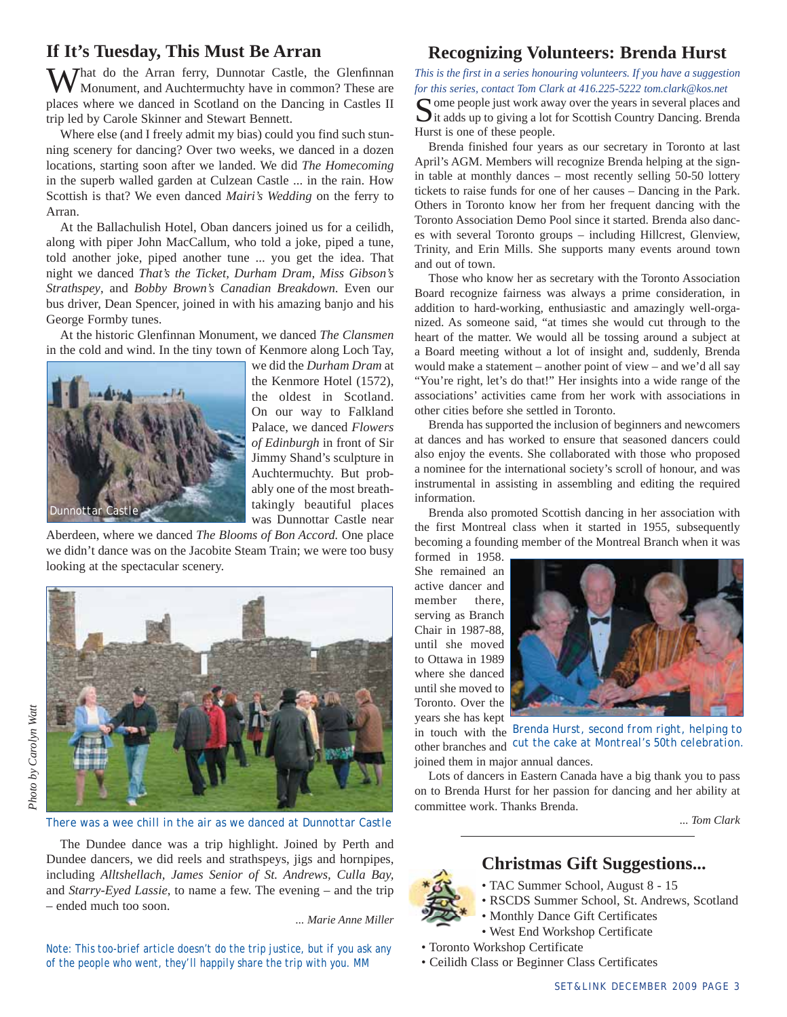### **If It's Tuesday, This Must Be Arran**

What do the Arran ferry, Dunnotar Castle, the Glenfinnan Monument, and Auchtermuchty have in common? These are places where we danced in Scotland on the Dancing in Castles II trip led by Carole Skinner and Stewart Bennett.

Where else (and I freely admit my bias) could you find such stunning scenery for dancing? Over two weeks, we danced in a dozen locations, starting soon after we landed. We did *The Homecoming* in the superb walled garden at Culzean Castle ... in the rain. How Scottish is that? We even danced *Mairi's Wedding* on the ferry to Arran.

At the Ballachulish Hotel, Oban dancers joined us for a ceilidh, along with piper John MacCallum, who told a joke, piped a tune, told another joke, piped another tune ... you get the idea. That night we danced *That's the Ticket, Durham Dram, Miss Gibson's Strathspey*, and *Bobby Brown's Canadian Breakdown*. Even our bus driver, Dean Spencer, joined in with his amazing banjo and his George Formby tunes.

At the historic Glenfinnan Monument, we danced *The Clansmen* in the cold and wind. In the tiny town of Kenmore along Loch Tay,



we did the *Durham Dram* at the Kenmore Hotel (1572), the oldest in Scotland. On our way to Falkland Palace, we danced *Flowers of Edinburgh* in front of Sir Jimmy Shand's sculpture in Auchtermuchty. But probably one of the most breathtakingly beautiful places was Dunnottar Castle near

Aberdeen, where we danced *The Blooms of Bon Accord.* One place we didn't dance was on the Jacobite Steam Train; we were too busy looking at the spectacular scenery.



*There was a wee chill in the air as we danced at Dunnottar Castle*

The Dundee dance was a trip highlight. Joined by Perth and Dundee dancers, we did reels and strathspeys, jigs and hornpipes, including *Alltshellach, James Senior of St. Andrews, Culla Bay,* and *Starry-Eyed Lassie*, to name a few. The evening – and the trip – ended much too soon.

*... Marie Anne Miller*

*Note: This too-brief article doesn't do the trip justice, but if you ask any of the people who went, they'll happily share the trip with you. MM*

#### **Recognizing Volunteers: Brenda Hurst**

*This is the first in a series honouring volunteers. If you have a suggestion for this series, contact Tom Clark at 416.225-5222 tom.clark@kos.net* Some people just work away over the years in several places and It adds up to giving a lot for Scottish Country Dancing. Brenda

Hurst is one of these people.

Brenda finished four years as our secretary in Toronto at last April's AGM. Members will recognize Brenda helping at the signin table at monthly dances – most recently selling 50-50 lottery tickets to raise funds for one of her causes – Dancing in the Park. Others in Toronto know her from her frequent dancing with the Toronto Association Demo Pool since it started. Brenda also dances with several Toronto groups – including Hillcrest, Glenview, Trinity, and Erin Mills. She supports many events around town and out of town.

Those who know her as secretary with the Toronto Association Board recognize fairness was always a prime consideration, in addition to hard-working, enthusiastic and amazingly well-organized. As someone said, "at times she would cut through to the heart of the matter. We would all be tossing around a subject at a Board meeting without a lot of insight and, suddenly, Brenda would make a statement – another point of view – and we'd all say "You're right, let's do that!" Her insights into a wide range of the associations' activities came from her work with associations in other cities before she settled in Toronto.

Brenda has supported the inclusion of beginners and newcomers at dances and has worked to ensure that seasoned dancers could also enjoy the events. She collaborated with those who proposed a nominee for the international society's scroll of honour, and was instrumental in assisting in assembling and editing the required information.

Brenda also promoted Scottish dancing in her association with the first Montreal class when it started in 1955, subsequently becoming a founding member of the Montreal Branch when it was

formed in 1958. She remained an active dancer and member there, serving as Branch Chair in 1987-88, until she moved to Ottawa in 1989 where she danced until she moved to Toronto. Over the years she has kept



in touch with the *Brenda Hurst, second from right, helping to*  other branches and *cut the cake at Montreal's 50th celebration.* joined them in major annual dances.

Lots of dancers in Eastern Canada have a big thank you to pass on to Brenda Hurst for her passion for dancing and her ability at committee work. Thanks Brenda.

*... Tom Clark*

## **Christmas Gift Suggestions...**

- TAC Summer School, August 8 15
- RSCDS Summer School, St. Andrews, Scotland
- Monthly Dance Gift Certificates
- West End Workshop Certificate
- Toronto Workshop Certificate
- Ceilidh Class or Beginner Class Certificates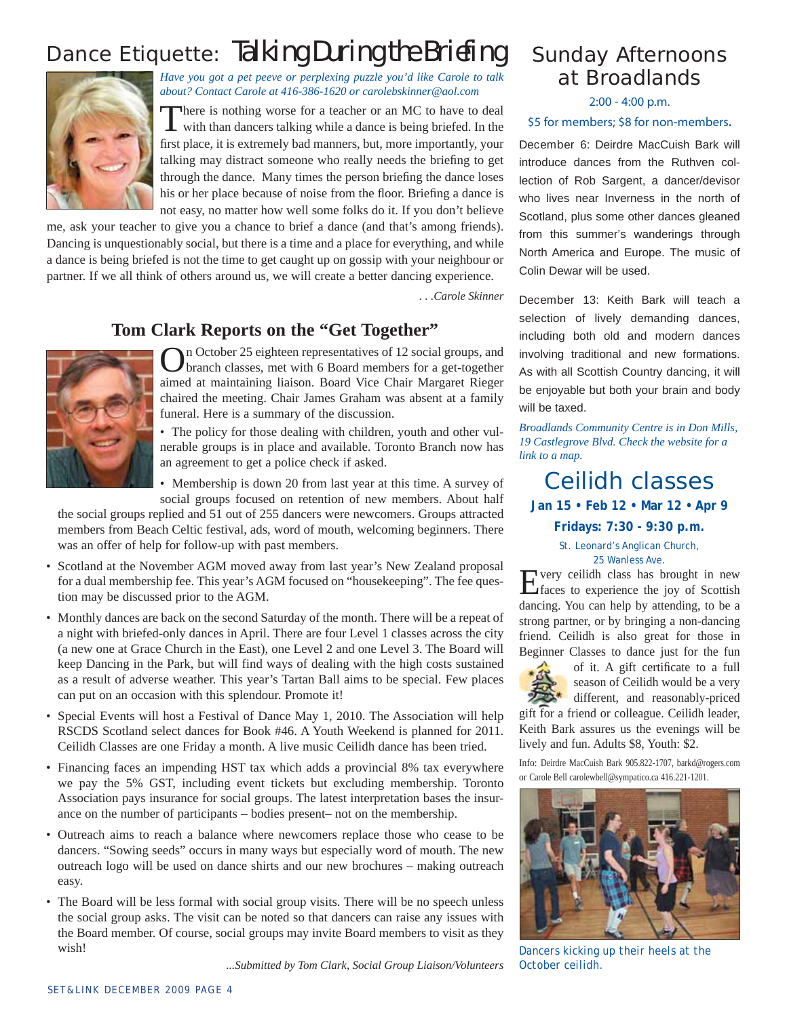# Dance Etiquette: Talking During the Briefing



*Have you got a pet peeve or perplexing puzzle you'd like Carole to talk about? Contact Carole at 416-386-1620 or carolebskinner@aol.com* 

There is nothing worse for a teacher or an MC to have to deal with than dancers talking while a dance is being briefed. In the first place, it is extremely bad manners, but, more importantly, your talking may distract someone who really needs the briefing to get through the dance. Many times the person briefing the dance loses his or her place because of noise from the floor. Briefing a dance is not easy, no matter how well some folks do it. If you don't believe

me, ask your teacher to give you a chance to brief a dance (and that's among friends). Dancing is unquestionably social, but there is a time and a place for everything, and while a dance is being briefed is not the time to get caught up on gossip with your neighbour or partner. If we all think of others around us, we will create a better dancing experience.

 *. . .Carole Skinner*

## **Tom Clark Reports on the "Get Together"**



On October 25 eighteen representatives of 12 social groups, and branch classes, met with 6 Board members for a get-together aimed at maintaining liaison. Board Vice Chair Margaret Rieger chaired the meeting. Chair James Graham was absent at a family funeral. Here is a summary of the discussion.

• The policy for those dealing with children, youth and other vulnerable groups is in place and available. Toronto Branch now has an agreement to get a police check if asked.

Membership is down 20 from last year at this time. A survey of social groups focused on retention of new members. About half

the social groups replied and 51 out of 255 dancers were newcomers. Groups attracted members from Beach Celtic festival, ads, word of mouth, welcoming beginners. There was an offer of help for follow-up with past members.

- Scotland at the November AGM moved away from last year's New Zealand proposal for a dual membership fee. This year's AGM focused on "housekeeping". The fee question may be discussed prior to the AGM.
- Monthly dances are back on the second Saturday of the month. There will be a repeat of a night with briefed-only dances in April. There are four Level 1 classes across the city (a new one at Grace Church in the East), one Level 2 and one Level 3. The Board will keep Dancing in the Park, but will find ways of dealing with the high costs sustained as a result of adverse weather. This year's Tartan Ball aims to be special. Few places can put on an occasion with this splendour. Promote it!
- Special Events will host a Festival of Dance May 1, 2010. The Association will help RSCDS Scotland select dances for Book #46. A Youth Weekend is planned for 2011. Ceilidh Classes are one Friday a month. A live music Ceilidh dance has been tried.
- Financing faces an impending HST tax which adds a provincial 8% tax everywhere we pay the 5% GST, including event tickets but excluding membership. Toronto Association pays insurance for social groups. The latest interpretation bases the insurance on the number of participants – bodies present– not on the membership.
- Outreach aims to reach a balance where newcomers replace those who cease to be dancers. "Sowing seeds" occurs in many ways but especially word of mouth. The new outreach logo will be used on dance shirts and our new brochures – making outreach easy.
- The Board will be less formal with social group visits. There will be no speech unless the social group asks. The visit can be noted so that dancers can raise any issues with the Board member. Of course, social groups may invite Board members to visit as they wish!

*...Submitted by Tom Clark, Social Group Liaison/Volunteers*

## Sunday Afternoons at Broadlands

#### 2:00 - 4:00 p.m.

#### \$5 for members; \$8 for non-members**.**

**December 6**: Deirdre MacCuish Bark will introduce dances from the Ruthven collection of Rob Sargent, a dancer/devisor who lives near Inverness in the north of Scotland, plus some other dances gleaned from this summer's wanderings through North America and Europe. The music of Colin Dewar will be used.

**December 13**: Keith Bark will teach a selection of lively demanding dances, including both old and modern dances involving traditional and new formations. As with all Scottish Country dancing, it will be enjoyable but both your brain and body will be taxed.

*Broadlands Community Centre is in Don Mills, 19 Castlegrove Blvd. Check the website for a link to a map.* 

Ceilidh classes **Jan 15 • Feb 12 • Mar 12 • Apr 9** 

**Fridays: 7:30 - 9:30 p.m.** St. Leonard's Anglican Church, 25 Wanless Ave.

Every ceilidh class has brought in new faces to experience the joy of Scottish dancing. You can help by attending, to be a strong partner, or by bringing a non-dancing friend. Ceilidh is also great for those in Beginner Classes to dance just for the fun



of it. A gift certificate to a full season of Ceilidh would be a very different, and reasonably-priced

gift for a friend or colleague. Ceilidh leader, Keith Bark assures us the evenings will be lively and fun. Adults \$8, Youth: \$2.

Info: Deirdre MacCuish Bark 905.822-1707, barkd@rogers.com or Carole Bell carolewbell@sympatico.ca 416.221-1201.



*Dancers kicking up their heels at the October ceilidh.*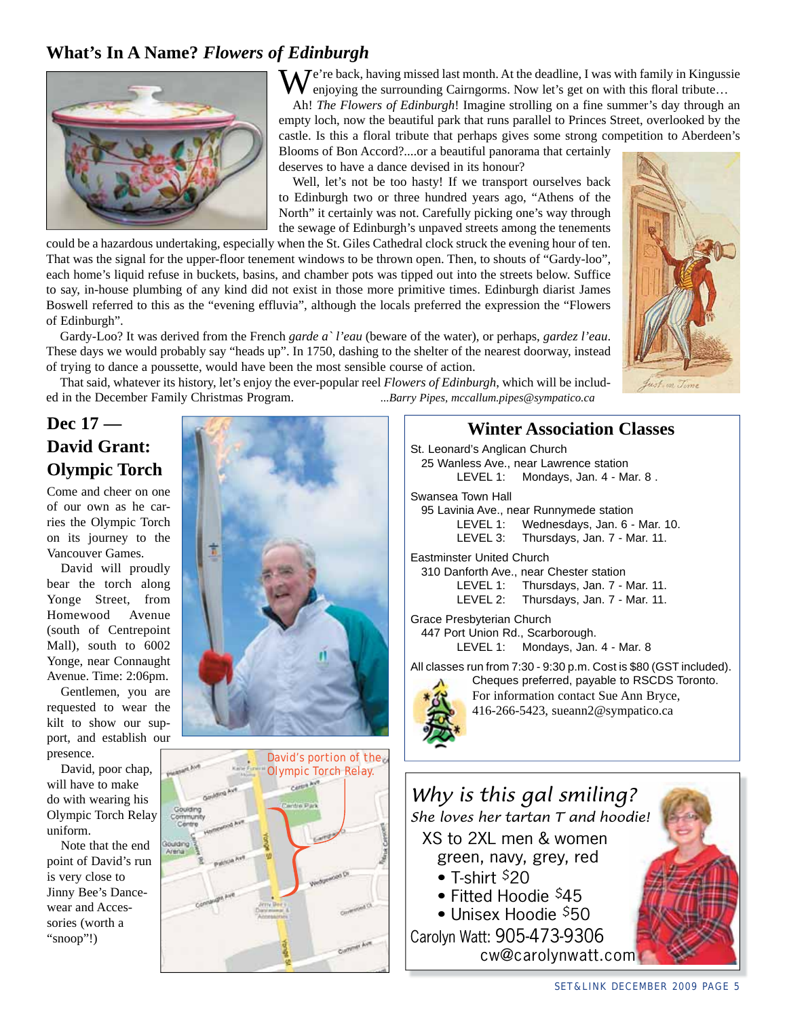## **What's In A Name?** *Flowers of Edinburgh*



 $\mathbf{W}^{\text{e're back, having missed last month. At the deadline, I was with family in Kingsise}$ enjoying the surrounding Cairngorms. Now let's get on with this floral tribute...

Ah! *The Flowers of Edinburgh*! Imagine strolling on a fine summer's day through an empty loch, now the beautiful park that runs parallel to Princes Street, overlooked by the castle. Is this a floral tribute that perhaps gives some strong competition to Aberdeen's Blooms of Bon Accord?....or a beautiful panorama that certainly

deserves to have a dance devised in its honour? Well, let's not be too hasty! If we transport ourselves back to Edinburgh two or three hundred years ago, "Athens of the North" it certainly was not. Carefully picking one's way through the sewage of Edinburgh's unpaved streets among the tenements

could be a hazardous undertaking, especially when the St. Giles Cathedral clock struck the evening hour of ten. That was the signal for the upper-floor tenement windows to be thrown open. Then, to shouts of "Gardy-loo", each home's liquid refuse in buckets, basins, and chamber pots was tipped out into the streets below. Suffice to say, in-house plumbing of any kind did not exist in those more primitive times. Edinburgh diarist James Boswell referred to this as the "evening effluvia", although the locals preferred the expression the "Flowers of Edinburgh".

Gardy-Loo? It was derived from the French *garde a` l'eau* (beware of the water), or perhaps, *gardez l'eau*. These days we would probably say "heads up". In 1750, dashing to the shelter of the nearest doorway, instead of trying to dance a poussette, would have been the most sensible course of action.

That said, whatever its history, let's enjoy the ever-popular reel *Flowers of Edinburgh*, which will be included in the December Family Christmas Program. *...Barry Pipes, mccallum.pipes@sympatico.ca*

## **Dec 17 — David Grant: Olympic Torch**

Come and cheer on one of our own as he carries the Olympic Torch on its journey to the Vancouver Games.

David will proudly bear the torch along Yonge Street, from Homewood Avenue (south of Centrepoint Mall), south to 6002 Yonge, near Connaught Avenue. Time: 2:06pm.

Gentlemen, you are requested to wear the kilt to show our support, and establish our presence.

David, poor chap, will have to make do with wearing his Olympic Torch Relay uniform.

Note that the end point of David's run is very close to Jinny Bee's Dancewear and Accessories (worth a "snoop"!)





### **Winter Association Classes**

- *Why is this gal smiling? She loves her tartan T and hoodie!* XS to 2XL men & women green, navy, grey, red St. Leonard's Anglican Church 25 Wanless Ave., near Lawrence station LEVEL 1: Mondays, Jan. 4 - Mar. 8. Swansea Town Hall 95 Lavinia Ave., near Runnymede station LEVEL 1: Wednesdays, Jan. 6 - Mar. 10. LEVEL 3: Thursdays, Jan. 7 - Mar. 11. Eastminster United Church 310 Danforth Ave., near Chester station LEVEL 1: Thursdays, Jan. 7 - Mar. 11. LEVEL 2: Thursdays, Jan. 7 - Mar. 11. Grace Presbyterian Church 447 Port Union Rd., Scarborough. LEVEL 1: Mondays, Jan. 4 - Mar. 8 All classes run from 7:30 - 9:30 p.m. Cost is \$80 (GST included). Cheques preferred, payable to RSCDS Toronto. For information contact Sue Ann Bryce, 416-266-5423, sueann2@sympatico.ca
	- $\bullet$  T-shirt \$20
	- Fitted Hoodie \$45 • Unisex Hoodie  $$50$

Carolyn Watt: 905-473-9306 cw@carolynwatt.com